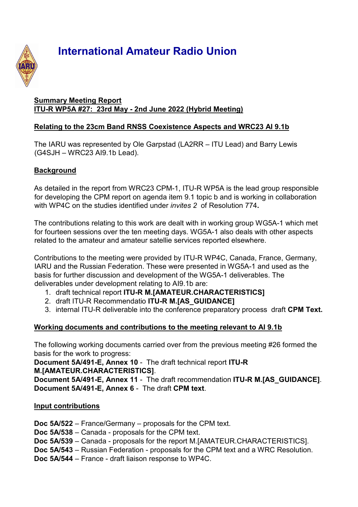

# **International Amateur Radio Union**

#### **Summary Meeting Report ITU-R WP5A #27: 23rd May - 2nd June 2022 (Hybrid Meeting)**

## **Relating to the 23cm Band RNSS Coexistence Aspects and WRC23 AI 9.1b**

The IARU was represented by Ole Garpstad (LA2RR – ITU Lead) and Barry Lewis (G4SJH – WRC23 AI9.1b Lead).

# **Background**

As detailed in the report from WRC23 CPM-1, ITU-R WP5A is the lead group responsible for developing the CPM report on agenda item 9.1 topic b and is working in collaboration with WP4C on the studies identified under *invites 2* of Resolution 774**.**

The contributions relating to this work are dealt with in working group WG5A-1 which met for fourteen sessions over the ten meeting days. WG5A-1 also deals with other aspects related to the amateur and amateur satellie services reported elsewhere.

Contributions to the meeting were provided by ITU-R WP4C, Canada, France, Germany, IARU and the Russian Federation. These were presented in WG5A-1 and used as the basis for further discussion and development of the WG5A-1 deliverables. The deliverables under development relating to AI9.1b are:

- 1. draft technical report **ITU-R M.[AMATEUR.CHARACTERISTICS]**
- 2. draft ITU-R Recommendatio **ITU-R M.[AS\_GUIDANCE]**
- 3. internal ITU-R deliverable into the conference preparatory process draft **CPM Text.**

# **Working documents and contributions to the meeting relevant to AI 9.1b**

The following working documents carried over from the previous meeting #26 formed the basis for the work to progress:

**Document 5A/491-E, Annex 10** - The draft technical report **ITU-R M.[AMATEUR.CHARACTERISTICS]**.

**Document 5A/491-E, Annex 11** - The draft recommendation **ITU-R M.[AS\_GUIDANCE]**. **Document 5A/491-E, Annex 6** - The draft **CPM text**.

## **Input contributions**

**Doc 5A/522** – France/Germany – proposals for the CPM text.

**Doc 5A/538** – Canada - proposals for the CPM text.

- **Doc 5A/539** Canada proposals for the report M.[AMATEUR.CHARACTERISTICS].
- **Doc 5A/543** Russian Federation proposals for the CPM text and a WRC Resolution.

**Doc 5A/544** – France - draft liaison response to WP4C.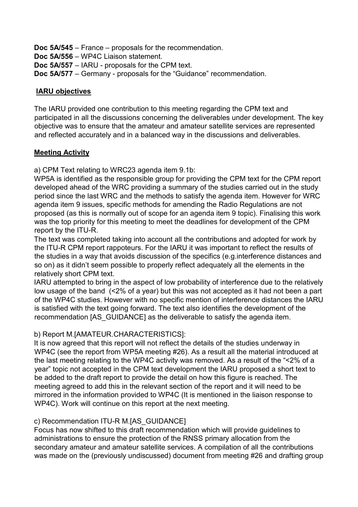**Doc 5A/545** – France – proposals for the recommendation.

**Doc 5A/556** – WP4C Liaison statement.

**Doc 5A/557** – IARU - proposals for the CPM text.

**Doc 5A/577** – Germany - proposals for the "Guidance" recommendation.

#### **IARU objectives**

The IARU provided one contribution to this meeting regarding the CPM text and participated in all the discussions concerning the deliverables under development. The key objective was to ensure that the amateur and amateur satellite services are represented and reflected accurately and in a balanced way in the discussions and deliverables.

## **Meeting Activity**

a) CPM Text relating to WRC23 agenda item 9.1b:

WP5A is identified as the responsible group for providing the CPM text for the CPM report developed ahead of the WRC providing a summary of the studies carried out in the study period since the last WRC and the methods to satisfy the agenda item. However for WRC agenda item 9 issues, specific methods for amending the Radio Regulations are not proposed (as this is normally out of scope for an agenda item 9 topic). Finalising this work was the top priority for this meeting to meet the deadlines for development of the CPM report by the ITU-R.

The text was completed taking into account all the contributions and adopted for work by the ITU-R CPM report rappoteurs. For the IARU it was important to reflect the results of the studies in a way that avoids discussion of the specifics (e.g.interference distances and so on) as it didn't seem possible to properly reflect adequately all the elements in the relatively short CPM text.

IARU attempted to bring in the aspect of low probability of interference due to the relatively low usage of the band (<2% of a year) but this was not accepted as it had not been a part of the WP4C studies. However with no specific mention of interference distances the IARU is satisfied with the text going forward. The text also identifies the development of the recommendation [AS\_GUIDANCE] as the deliverable to satisfy the agenda item.

## b) Report M.[AMATEUR.CHARACTERISTICS]:

It is now agreed that this report will not reflect the details of the studies underway in WP4C (see the report from WP5A meeting #26). As a result all the material introduced at the last meeting relating to the WP4C activity was removed. As a result of the "<2% of a year" topic not accepted in the CPM text development the IARU proposed a short text to be added to the draft report to provide the detail on how this figure is reached. The meeting agreed to add this in the relevant section of the report and it will need to be mirrored in the information provided to WP4C (It is mentioned in the liaison response to WP4C). Work will continue on this report at the next meeting.

## c) Recommendation ITU-R M.[AS\_GUIDANCE]

Focus has now shifted to this draft recommendation which will provide guidelines to administrations to ensure the protection of the RNSS primary allocation from the secondary amateur and amateur satellite services. A compilation of all the contributions was made on the (previously undiscussed) document from meeting #26 and drafting group